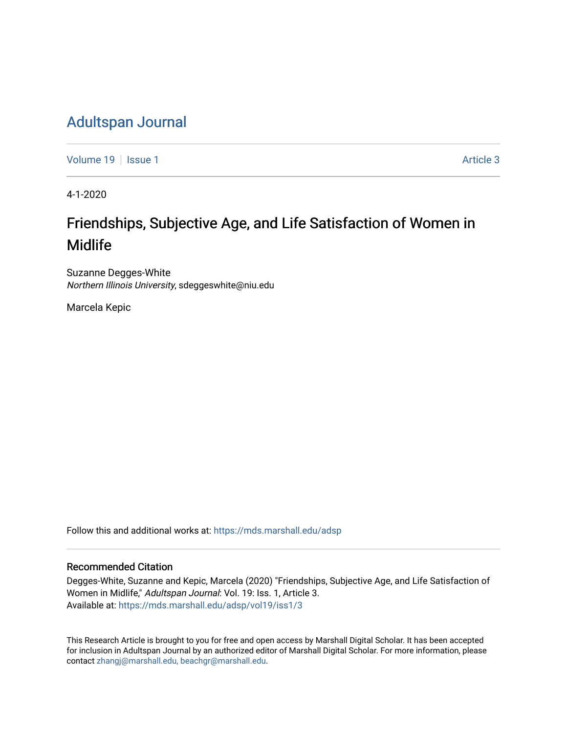## [Adultspan Journal](https://mds.marshall.edu/adsp)

[Volume 19](https://mds.marshall.edu/adsp/vol19) | [Issue 1](https://mds.marshall.edu/adsp/vol19/iss1) Article 3

4-1-2020

## Friendships, Subjective Age, and Life Satisfaction of Women in Midlife

Suzanne Degges-White Northern Illinois University, sdeggeswhite@niu.edu

Marcela Kepic

Follow this and additional works at: [https://mds.marshall.edu/adsp](https://mds.marshall.edu/adsp?utm_source=mds.marshall.edu%2Fadsp%2Fvol19%2Fiss1%2F3&utm_medium=PDF&utm_campaign=PDFCoverPages) 

## Recommended Citation

Degges-White, Suzanne and Kepic, Marcela (2020) "Friendships, Subjective Age, and Life Satisfaction of Women in Midlife," Adultspan Journal: Vol. 19: Iss. 1, Article 3. Available at: [https://mds.marshall.edu/adsp/vol19/iss1/3](https://mds.marshall.edu/adsp/vol19/iss1/3?utm_source=mds.marshall.edu%2Fadsp%2Fvol19%2Fiss1%2F3&utm_medium=PDF&utm_campaign=PDFCoverPages) 

This Research Article is brought to you for free and open access by Marshall Digital Scholar. It has been accepted for inclusion in Adultspan Journal by an authorized editor of Marshall Digital Scholar. For more information, please contact [zhangj@marshall.edu, beachgr@marshall.edu](mailto:zhangj@marshall.edu,%20beachgr@marshall.edu).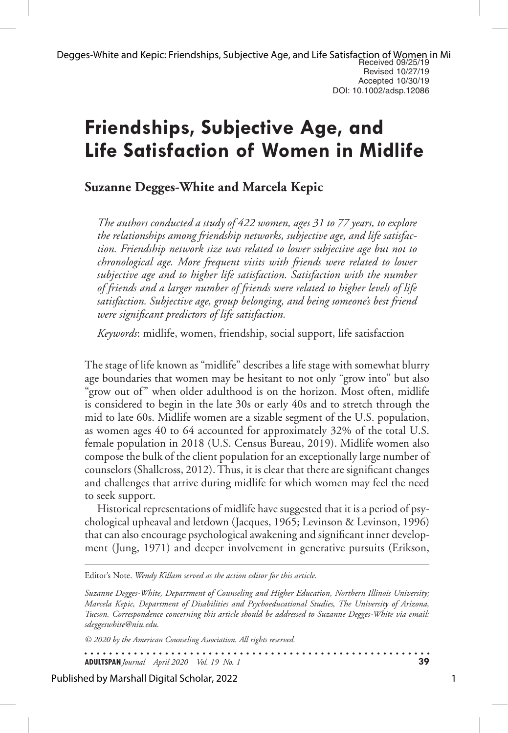# **Friendships, Subjective Age, and Life Satisfaction of Women in Midlife**

## **Suzanne Degges-White and Marcela Kepic**

*The authors conducted a study of 422 women, ages 31 to 77 years, to explore the relationships among friendship networks, subjective age, and life satisfaction. Friendship network size was related to lower subjective age but not to chronological age. More frequent visits with friends were related to lower subjective age and to higher life satisfaction. Satisfaction with the number of friends and a larger number of friends were related to higher levels of life satisfaction. Subjective age, group belonging, and being someone's best friend were significant predictors of life satisfaction.*

*Keywords*: midlife, women, friendship, social support, life satisfaction

The stage of life known as "midlife" describes a life stage with somewhat blurry age boundaries that women may be hesitant to not only "grow into" but also "grow out of" when older adulthood is on the horizon. Most often, midlife is considered to begin in the late 30s or early 40s and to stretch through the mid to late 60s. Midlife women are a sizable segment of the U.S. population, as women ages 40 to 64 accounted for approximately 32% of the total U.S. female population in 2018 (U.S. Census Bureau, 2019). Midlife women also compose the bulk of the client population for an exceptionally large number of counselors (Shallcross, 2012). Thus, it is clear that there are significant changes and challenges that arrive during midlife for which women may feel the need to seek support.

Historical representations of midlife have suggested that it is a period of psychological upheaval and letdown (Jacques, 1965; Levinson & Levinson, 1996) that can also encourage psychological awakening and significant inner development (Jung, 1971) and deeper involvement in generative pursuits (Erikson,

Editor's Note. *Wendy Killam served as the action editor for this article.*

*Suzanne Degges-White, Department of Counseling and Higher Education, Northern Illinois University; Marcela Kepic, Department of Disabilities and Psychoeducational Studies, The University of Arizona, Tucson. Correspondence concerning this article should be addressed to Suzanne Degges-White via email: sdeggeswhite@niu.edu.*

. . . . . . . . . . . . . . . . .

*© 2020 by the American Counseling Association. All rights reserved.*

**ADULTSPAN***Journal April 2020 Vol. 19 No. 1* **39**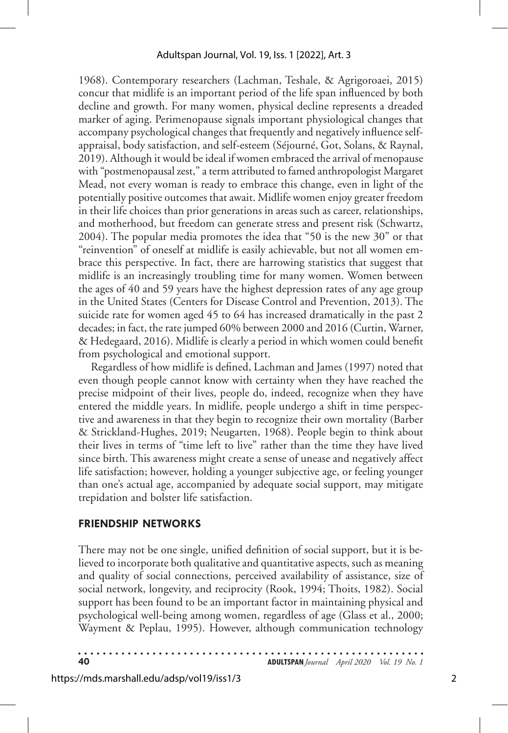1968). Contemporary researchers (Lachman, Teshale, & Agrigoroaei, 2015) concur that midlife is an important period of the life span influenced by both decline and growth. For many women, physical decline represents a dreaded marker of aging. Perimenopause signals important physiological changes that accompany psychological changes that frequently and negatively influence selfappraisal, body satisfaction, and self-esteem (Séjourné, Got, Solans, & Raynal, 2019). Although it would be ideal if women embraced the arrival of menopause with "postmenopausal zest," a term attributed to famed anthropologist Margaret Mead, not every woman is ready to embrace this change, even in light of the potentially positive outcomes that await. Midlife women enjoy greater freedom in their life choices than prior generations in areas such as career, relationships, and motherhood, but freedom can generate stress and present risk (Schwartz, 2004). The popular media promotes the idea that "50 is the new 30" or that "reinvention" of oneself at midlife is easily achievable, but not all women embrace this perspective. In fact, there are harrowing statistics that suggest that midlife is an increasingly troubling time for many women. Women between the ages of 40 and 59 years have the highest depression rates of any age group in the United States (Centers for Disease Control and Prevention, 2013). The suicide rate for women aged 45 to 64 has increased dramatically in the past 2 decades; in fact, the rate jumped 60% between 2000 and 2016 (Curtin, Warner, & Hedegaard, 2016). Midlife is clearly a period in which women could benefit from psychological and emotional support.

Regardless of how midlife is defined, Lachman and James (1997) noted that even though people cannot know with certainty when they have reached the precise midpoint of their lives, people do, indeed, recognize when they have entered the middle years. In midlife, people undergo a shift in time perspective and awareness in that they begin to recognize their own mortality (Barber & Strickland-Hughes, 2019; Neugarten, 1968). People begin to think about their lives in terms of "time left to live" rather than the time they have lived since birth. This awareness might create a sense of unease and negatively affect life satisfaction; however, holding a younger subjective age, or feeling younger than one's actual age, accompanied by adequate social support, may mitigate trepidation and bolster life satisfaction.

## **FRIENDSHIP NETWORKS**

There may not be one single, unified definition of social support, but it is believed to incorporate both qualitative and quantitative aspects, such as meaning and quality of social connections, perceived availability of assistance, size of social network, longevity, and reciprocity (Rook, 1994; Thoits, 1982). Social support has been found to be an important factor in maintaining physical and psychological well-being among women, regardless of age (Glass et al., 2000; Wayment & Peplau, 1995). However, although communication technology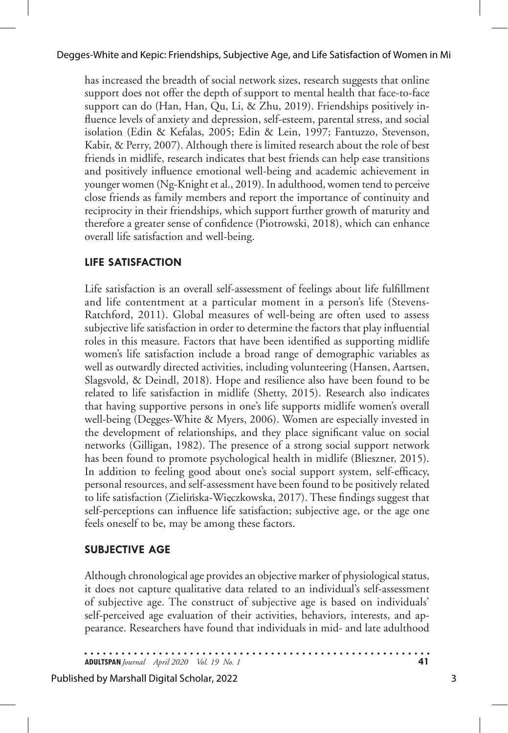#### Degges-White and Kepic: Friendships, Subjective Age, and Life Satisfaction of Women in Mi

has increased the breadth of social network sizes, research suggests that online support does not offer the depth of support to mental health that face-to-face support can do (Han, Han, Qu, Li, & Zhu, 2019). Friendships positively influence levels of anxiety and depression, self-esteem, parental stress, and social isolation (Edin & Kefalas, 2005; Edin & Lein, 1997; Fantuzzo, Stevenson, Kabir, & Perry, 2007). Although there is limited research about the role of best friends in midlife, research indicates that best friends can help ease transitions and positively influence emotional well-being and academic achievement in younger women (Ng-Knight et al., 2019). In adulthood, women tend to perceive close friends as family members and report the importance of continuity and reciprocity in their friendships, which support further growth of maturity and therefore a greater sense of confidence (Piotrowski, 2018), which can enhance overall life satisfaction and well-being.

## **LIFE SATISFACTION**

Life satisfaction is an overall self-assessment of feelings about life fulfillment and life contentment at a particular moment in a person's life (Stevens-Ratchford, 2011). Global measures of well-being are often used to assess subjective life satisfaction in order to determine the factors that play influential roles in this measure. Factors that have been identified as supporting midlife women's life satisfaction include a broad range of demographic variables as well as outwardly directed activities, including volunteering (Hansen, Aartsen, Slagsvold, & Deindl, 2018). Hope and resilience also have been found to be related to life satisfaction in midlife (Shetty, 2015). Research also indicates that having supportive persons in one's life supports midlife women's overall well-being (Degges-White & Myers, 2006). Women are especially invested in the development of relationships, and they place significant value on social networks (Gilligan, 1982). The presence of a strong social support network has been found to promote psychological health in midlife (Blieszner, 2015). In addition to feeling good about one's social support system, self-efficacy, personal resources, and self-assessment have been found to be positively related to life satisfaction (Zielińska-Więczkowska, 2017). These findings suggest that self-perceptions can influence life satisfaction; subjective age, or the age one feels oneself to be, may be among these factors.

#### **SUBJECTIVE AGE**

Although chronological age provides an objective marker of physiological status, it does not capture qualitative data related to an individual's self-assessment of subjective age. The construct of subjective age is based on individuals' self-perceived age evaluation of their activities, behaviors, interests, and appearance. Researchers have found that individuals in mid- and late adulthood

**ADULTSPAN***Journal April 2020 Vol. 19 No. 1* **41**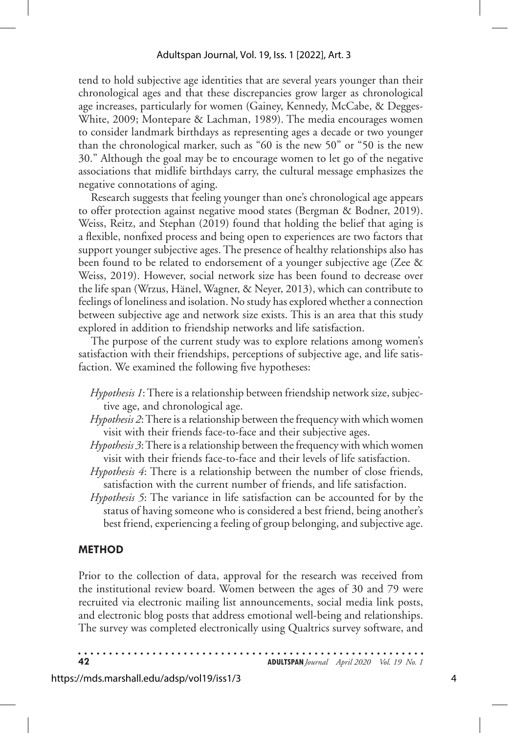tend to hold subjective age identities that are several years younger than their chronological ages and that these discrepancies grow larger as chronological age increases, particularly for women (Gainey, Kennedy, McCabe, & Degges-White, 2009; Montepare & Lachman, 1989). The media encourages women to consider landmark birthdays as representing ages a decade or two younger than the chronological marker, such as "60 is the new 50" or "50 is the new 30." Although the goal may be to encourage women to let go of the negative associations that midlife birthdays carry, the cultural message emphasizes the negative connotations of aging.

Research suggests that feeling younger than one's chronological age appears to offer protection against negative mood states (Bergman & Bodner, 2019). Weiss, Reitz, and Stephan (2019) found that holding the belief that aging is a flexible, nonfixed process and being open to experiences are two factors that support younger subjective ages. The presence of healthy relationships also has been found to be related to endorsement of a younger subjective age (Zee & Weiss, 2019). However, social network size has been found to decrease over the life span (Wrzus, Hänel, Wagner, & Neyer, 2013), which can contribute to feelings of loneliness and isolation. No study has explored whether a connection between subjective age and network size exists. This is an area that this study explored in addition to friendship networks and life satisfaction.

The purpose of the current study was to explore relations among women's satisfaction with their friendships, perceptions of subjective age, and life satisfaction. We examined the following five hypotheses:

- *Hypothesis 1*: There is a relationship between friendship network size, subjective age, and chronological age.
- *Hypothesis 2*: There is a relationship between the frequency with which women visit with their friends face-to-face and their subjective ages.
- *Hypothesis 3*: There is a relationship between the frequency with which women visit with their friends face-to-face and their levels of life satisfaction.
- *Hypothesis 4*: There is a relationship between the number of close friends, satisfaction with the current number of friends, and life satisfaction.
- *Hypothesis 5*: The variance in life satisfaction can be accounted for by the status of having someone who is considered a best friend, being another's best friend, experiencing a feeling of group belonging, and subjective age.

## **METHOD**

Prior to the collection of data, approval for the research was received from the institutional review board. Women between the ages of 30 and 79 were recruited via electronic mailing list announcements, social media link posts, and electronic blog posts that address emotional well-being and relationships. The survey was completed electronically using Qualtrics survey software, and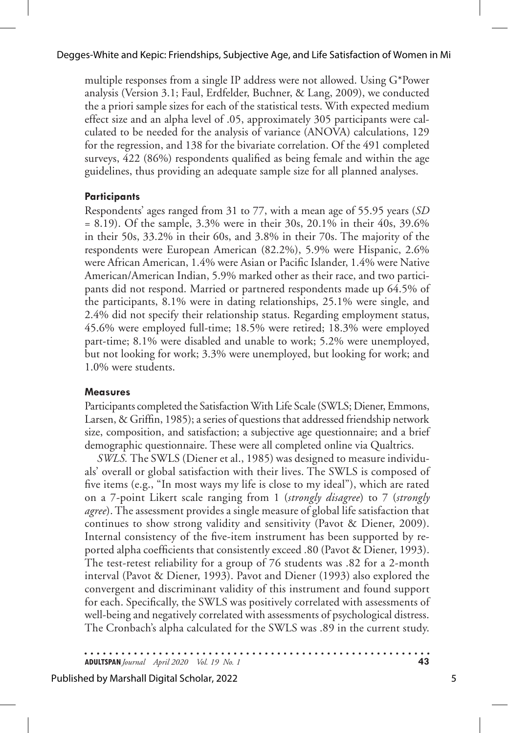multiple responses from a single IP address were not allowed. Using G\*Power analysis (Version 3.1; Faul, Erdfelder, Buchner, & Lang, 2009), we conducted the a priori sample sizes for each of the statistical tests. With expected medium effect size and an alpha level of .05, approximately 305 participants were calculated to be needed for the analysis of variance (ANOVA) calculations, 129 for the regression, and 138 for the bivariate correlation. Of the 491 completed surveys, 422 (86%) respondents qualified as being female and within the age guidelines, thus providing an adequate sample size for all planned analyses.

### **Participants**

Respondents' ages ranged from 31 to 77, with a mean age of 55.95 years (*SD*  $= 8.19$ ). Of the sample, 3.3% were in their 30s, 20.1% in their 40s, 39.6% in their 50s, 33.2% in their 60s, and 3.8% in their 70s. The majority of the respondents were European American (82.2%), 5.9% were Hispanic, 2.6% were African American, 1.4% were Asian or Pacific Islander, 1.4% were Native American/American Indian, 5.9% marked other as their race, and two participants did not respond. Married or partnered respondents made up 64.5% of the participants, 8.1% were in dating relationships, 25.1% were single, and 2.4% did not specify their relationship status. Regarding employment status, 45.6% were employed full-time; 18.5% were retired; 18.3% were employed part-time; 8.1% were disabled and unable to work; 5.2% were unemployed, but not looking for work; 3.3% were unemployed, but looking for work; and 1.0% were students.

#### **Measures**

Participants completed the Satisfaction With Life Scale (SWLS; Diener, Emmons, Larsen, & Griffin, 1985); a series of questions that addressed friendship network size, composition, and satisfaction; a subjective age questionnaire; and a brief demographic questionnaire. These were all completed online via Qualtrics.

*SWLS.* The SWLS (Diener et al., 1985) was designed to measure individuals' overall or global satisfaction with their lives. The SWLS is composed of five items (e.g., "In most ways my life is close to my ideal"), which are rated on a 7-point Likert scale ranging from 1 (*strongly disagree*) to 7 (*strongly agree*). The assessment provides a single measure of global life satisfaction that continues to show strong validity and sensitivity (Pavot & Diener, 2009). Internal consistency of the five-item instrument has been supported by reported alpha coefficients that consistently exceed .80 (Pavot & Diener, 1993). The test-retest reliability for a group of 76 students was .82 for a 2-month interval (Pavot & Diener, 1993). Pavot and Diener (1993) also explored the convergent and discriminant validity of this instrument and found support for each. Specifically, the SWLS was positively correlated with assessments of well-being and negatively correlated with assessments of psychological distress. The Cronbach's alpha calculated for the SWLS was .89 in the current study.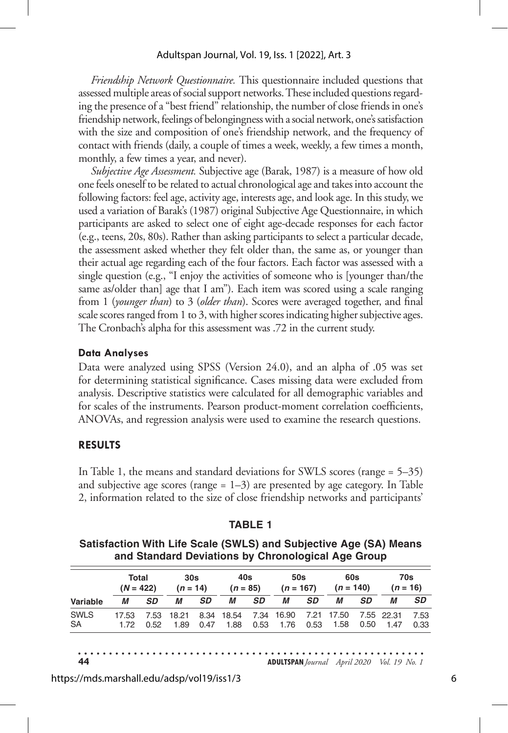#### Adultspan Journal, Vol. 19, Iss. 1 [2022], Art. 3

*Friendship Network Questionnaire.* This questionnaire included questions that assessed multiple areas of social support networks. These included questions regarding the presence of a "best friend" relationship, the number of close friends in one's friendship network, feelings of belongingness with a social network, one's satisfaction with the size and composition of one's friendship network, and the frequency of contact with friends (daily, a couple of times a week, weekly, a few times a month, monthly, a few times a year, and never).

*Subjective Age Assessment.* Subjective age (Barak, 1987) is a measure of how old one feels oneself to be related to actual chronological age and takes into account the following factors: feel age, activity age, interests age, and look age. In this study, we used a variation of Barak's (1987) original Subjective Age Questionnaire, in which participants are asked to select one of eight age-decade responses for each factor (e.g., teens, 20s, 80s). Rather than asking participants to select a particular decade, the assessment asked whether they felt older than, the same as, or younger than their actual age regarding each of the four factors. Each factor was assessed with a single question (e.g., "I enjoy the activities of someone who is [younger than/the same as/older than] age that I am"). Each item was scored using a scale ranging from 1 (*younger than*) to 3 (*older than*). Scores were averaged together, and final scale scores ranged from 1 to 3, with higher scores indicating higher subjective ages. The Cronbach's alpha for this assessment was .72 in the current study.

#### **Data Analyses**

Data were analyzed using SPSS (Version 24.0), and an alpha of .05 was set for determining statistical significance. Cases missing data were excluded from analysis. Descriptive statistics were calculated for all demographic variables and for scales of the instruments. Pearson product-moment correlation coefficients, ANOVAs, and regression analysis were used to examine the research questions.

#### **RESULTS**

In Table 1, the means and standard deviations for SWLS scores (range = 5–35) and subjective age scores (range  $= 1-3$ ) are presented by age category. In Table 2, information related to the size of close friendship networks and participants'

| Satisfaction With Life Scale (SWLS) and Subjective Age (SA) Means<br>and Standard Deviations by Chronological Age Group |                      |           |                   |           |                     |      |                    |      |                    |           |                   |             |
|-------------------------------------------------------------------------------------------------------------------------|----------------------|-----------|-------------------|-----------|---------------------|------|--------------------|------|--------------------|-----------|-------------------|-------------|
| Variable                                                                                                                | Total<br>$(N = 422)$ |           | 30s<br>$(n = 14)$ |           | 40s<br>$(n = 85)$   |      | 50s<br>$(n = 167)$ |      | 60s<br>$(n = 140)$ |           | 70s<br>$(n = 16)$ |             |
|                                                                                                                         | М                    | <b>SD</b> | М                 | <b>SD</b> | М                   | SD   | М                  | SD   | М                  | <b>SD</b> | М                 | <b>SD</b>   |
| <b>SWLS</b>                                                                                                             | 17.53                | 7.53      | 18.21             |           | 8.34 18.54          | 7.34 | 16.90              | 7.21 | 17.50              |           | 7.55 22.31        | 7.53        |
| SA.                                                                                                                     |                      | በ 52      | 1.89              |           | 0.47 1.88 0.53 1.76 |      |                    |      | 053 158            | 0.50      | 147               | <u>በ 33</u> |

0.53

0.53

1.88

#### **TABLE 1**

**Satisfaction With Life Scale (SWLS) and Subjective Age (SA) Means** 

**44 ADULTSPAN***Journal April 2020 Vol. 19 No. 1*

1.58

0.50

1.47

0.33

0.52

1.89

0.47

1.72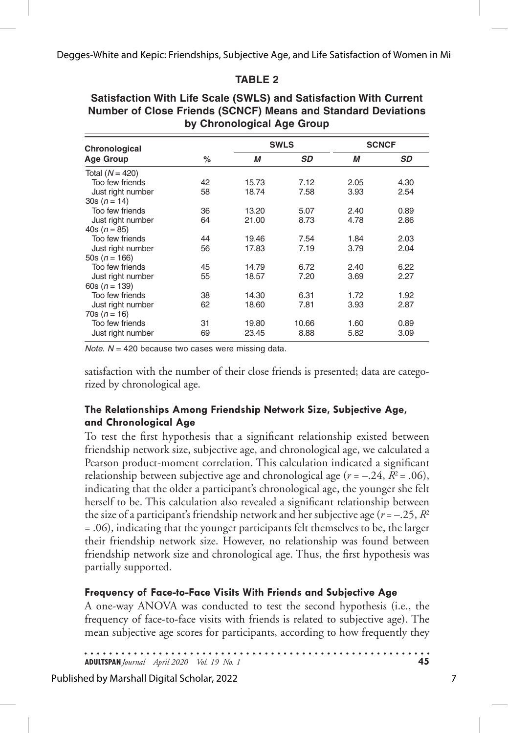## **TABLE 2**

| by Chronological Age Group |    |       |             |              |      |  |  |  |
|----------------------------|----|-------|-------------|--------------|------|--|--|--|
| Chronological              |    |       | <b>SWLS</b> | <b>SCNCF</b> |      |  |  |  |
| <b>Age Group</b>           | %  | М     | <b>SD</b>   | М            | SD   |  |  |  |
| Total $(N = 420)$          |    |       |             |              |      |  |  |  |
| Too few friends            | 42 | 15.73 | 7.12        | 2.05         | 4.30 |  |  |  |
| Just right number          | 58 | 18.74 | 7.58        | 3.93         | 2.54 |  |  |  |
| $30s(n = 14)$              |    |       |             |              |      |  |  |  |
| Too few friends            | 36 | 13.20 | 5.07        | 2.40         | 0.89 |  |  |  |
| Just right number          | 64 | 21.00 | 8.73        | 4.78         | 2.86 |  |  |  |
| 40s ( $n = 85$ )           |    |       |             |              |      |  |  |  |
| Too few friends            | 44 | 19.46 | 7.54        | 1.84         | 2.03 |  |  |  |
| Just right number          | 56 | 17.83 | 7.19        | 3.79         | 2.04 |  |  |  |
| 50s ( $n = 166$ )          |    |       |             |              |      |  |  |  |
| Too few friends            | 45 | 14.79 | 6.72        | 2.40         | 6.22 |  |  |  |
| Just right number          | 55 | 18.57 | 7.20        | 3.69         | 2.27 |  |  |  |
| 60s $(n = 139)$            |    |       |             |              |      |  |  |  |
| Too few friends            | 38 | 14.30 | 6.31        | 1.72         | 1.92 |  |  |  |
| Just right number          | 62 | 18.60 | 7.81        | 3.93         | 2.87 |  |  |  |
| $70s(n = 16)$              |    |       |             |              |      |  |  |  |
| Too few friends            | 31 | 19.80 | 10.66       | 1.60         | 0.89 |  |  |  |
| Just right number          | 69 | 23.45 | 8.88        | 5.82         | 3.09 |  |  |  |

#### **Satisfaction With Life Scale (SWLS) and Satisfaction With Current Number of Close Friends (SCNCF) Means and Standard Deviations by Chronological Age Group**

*Note. N* = 420 because two cases were missing data.

satisfaction with the number of their close friends is presented; data are categorized by chronological age.

## **The Relationships Among Friendship Network Size, Subjective Age, and Chronological Age**

To test the first hypothesis that a significant relationship existed between friendship network size, subjective age, and chronological age, we calculated a Pearson product-moment correlation. This calculation indicated a significant relationship between subjective age and chronological age  $(r = -.24, R^2 = .06)$ , indicating that the older a participant's chronological age, the younger she felt herself to be. This calculation also revealed a significant relationship between the size of a participant's friendship network and her subjective age ( $r = -0.25$ ,  $R^2$ ) = .06), indicating that the younger participants felt themselves to be, the larger their friendship network size. However, no relationship was found between friendship network size and chronological age. Thus, the first hypothesis was partially supported.

## **Frequency of Face-to-Face Visits With Friends and Subjective Age**

A one-way ANOVA was conducted to test the second hypothesis (i.e., the frequency of face-to-face visits with friends is related to subjective age). The mean subjective age scores for participants, according to how frequently they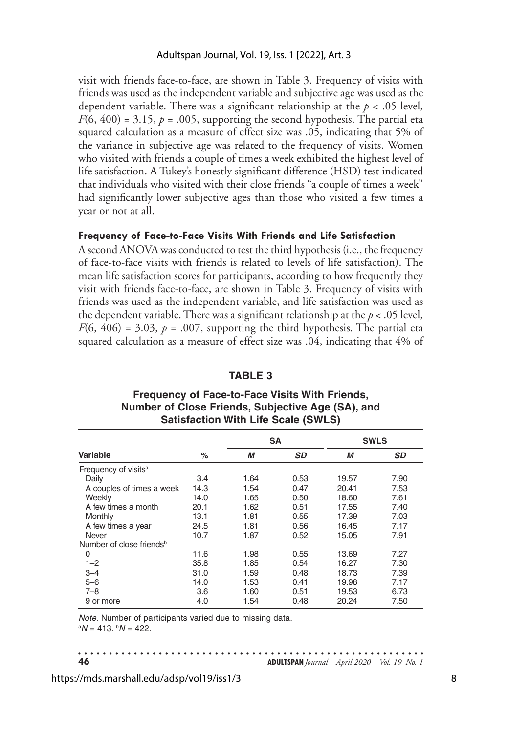visit with friends face-to-face, are shown in Table 3. Frequency of visits with friends was used as the independent variable and subjective age was used as the dependent variable. There was a significant relationship at the *p* < .05 level,  $F(6, 400) = 3.15$ ,  $p = .005$ , supporting the second hypothesis. The partial eta squared calculation as a measure of effect size was .05, indicating that 5% of the variance in subjective age was related to the frequency of visits. Women who visited with friends a couple of times a week exhibited the highest level of life satisfaction. A Tukey's honestly significant difference (HSD) test indicated that individuals who visited with their close friends "a couple of times a week" had significantly lower subjective ages than those who visited a few times a year or not at all.

### **Frequency of Face-to-Face Visits With Friends and Life Satisfaction**

A second ANOVA was conducted to test the third hypothesis (i.e., the frequency of face-to-face visits with friends is related to levels of life satisfaction). The mean life satisfaction scores for participants, according to how frequently they visit with friends face-to-face, are shown in Table 3. Frequency of visits with friends was used as the independent variable, and life satisfaction was used as the dependent variable. There was a significant relationship at the  $p < .05$  level,  $F(6, 406) = 3.03$ ,  $p = .007$ , supporting the third hypothesis. The partial eta squared calculation as a measure of effect size was .04, indicating that 4% of

|                                      |      |      | <b>SA</b> | <b>SWLS</b> |           |  |  |
|--------------------------------------|------|------|-----------|-------------|-----------|--|--|
| Variable                             | $\%$ | M    | <b>SD</b> | М           | <b>SD</b> |  |  |
| Frequency of visits <sup>a</sup>     |      |      |           |             |           |  |  |
| Daily                                | 3.4  | 1.64 | 0.53      | 19.57       | 7.90      |  |  |
| A couples of times a week            | 14.3 | 1.54 | 0.47      | 20.41       | 7.53      |  |  |
| Weekly                               | 14.0 | 1.65 | 0.50      | 18.60       | 7.61      |  |  |
| A few times a month                  | 20.1 | 1.62 | 0.51      | 17.55       | 7.40      |  |  |
| Monthly                              | 13.1 | 1.81 | 0.55      | 17.39       | 7.03      |  |  |
| A few times a year                   | 24.5 | 1.81 | 0.56      | 16.45       | 7.17      |  |  |
| Never                                | 10.7 | 1.87 | 0.52      | 15.05       | 7.91      |  |  |
| Number of close friends <sup>b</sup> |      |      |           |             |           |  |  |
| 0                                    | 11.6 | 1.98 | 0.55      | 13.69       | 7.27      |  |  |
| $1 - 2$                              | 35.8 | 1.85 | 0.54      | 16.27       | 7.30      |  |  |
| $3 - 4$                              | 31.0 | 1.59 | 0.48      | 18.73       | 7.39      |  |  |
| $5 - 6$                              | 14.0 | 1.53 | 0.41      | 19.98       | 7.17      |  |  |
| 7–8                                  | 3.6  | 1.60 | 0.51      | 19.53       | 6.73      |  |  |
| 9 or more                            | 4.0  | 1.54 | 0.48      | 20.24       | 7.50      |  |  |

#### **TABLE 3**

### **Frequency of Face-to-Face Visits With Friends, Number of Close Friends, Subjective Age (SA), and Satisfaction With Life Scale (SWLS)**

*Note.* Number of participants varied due to missing data. a *N* = 413. b *N* = 422.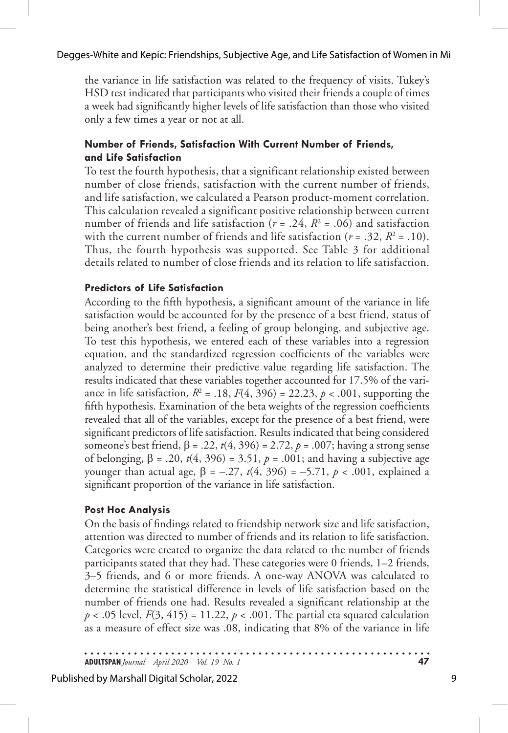#### Degges-White and Kepic: Friendships, Subjective Age, and Life Satisfaction of Women in Mi

the variance in life satisfaction was related to the frequency of visits. Tukey's HSD test indicated that participants who visited their friends a couple of times a week had significantly higher levels of life satisfaction than those who visited only a few times a year or not at all.

### **Number of Friends, Satisfaction With Current Number of Friends, and Life Satisfaction**

To test the fourth hypothesis, that a significant relationship existed between number of close friends, satisfaction with the current number of friends, and life satisfaction, we calculated a Pearson product-moment correlation. This calculation revealed a significant positive relationship between current number of friends and life satisfaction ( $r = .24$ ,  $R^2 = .06$ ) and satisfaction with the current number of friends and life satisfaction  $(r = .32, R^2 = .10)$ . Thus, the fourth hypothesis was supported. See Table 3 for additional details related to number of close friends and its relation to life satisfaction.

### **Predictors of Life Satisfaction**

According to the fifth hypothesis, a significant amount of the variance in life satisfaction would be accounted for by the presence of a best friend, status of being another's best friend, a feeling of group belonging, and subjective age. To test this hypothesis, we entered each of these variables into a regression equation, and the standardized regression coefficients of the variables were analyzed to determine their predictive value regarding life satisfaction. The results indicated that these variables together accounted for 17.5% of the variance in life satisfaction,  $R^2 = .18$ ,  $F(4, 396) = 22.23$ ,  $p < .001$ , supporting the fifth hypothesis. Examination of the beta weights of the regression coefficients revealed that all of the variables, except for the presence of a best friend, were significant predictors of life satisfaction. Results indicated that being considered someone's best friend, β = .22, *t*(4, 396) = 2.72, *p* = .007; having a strong sense of belonging, β = .20, *t*(4, 396) = 3.51, *p* = .001; and having a subjective age younger than actual age,  $β = -.27, t(4, 396) = -.71, p < .001$ , explained a significant proportion of the variance in life satisfaction.

## **Post Hoc Analysis**

On the basis of findings related to friendship network size and life satisfaction, attention was directed to number of friends and its relation to life satisfaction. Categories were created to organize the data related to the number of friends participants stated that they had. These categories were 0 friends, 1–2 friends, 3–5 friends, and 6 or more friends. A one-way ANOVA was calculated to determine the statistical difference in levels of life satisfaction based on the number of friends one had. Results revealed a significant relationship at the  $p < .05$  level,  $F(3, 415) = 11.22$ ,  $p < .001$ . The partial eta squared calculation as a measure of effect size was .08, indicating that 8% of the variance in life

**ADULTSPAN***Journal April 2020 Vol. 19 No. 1* **47**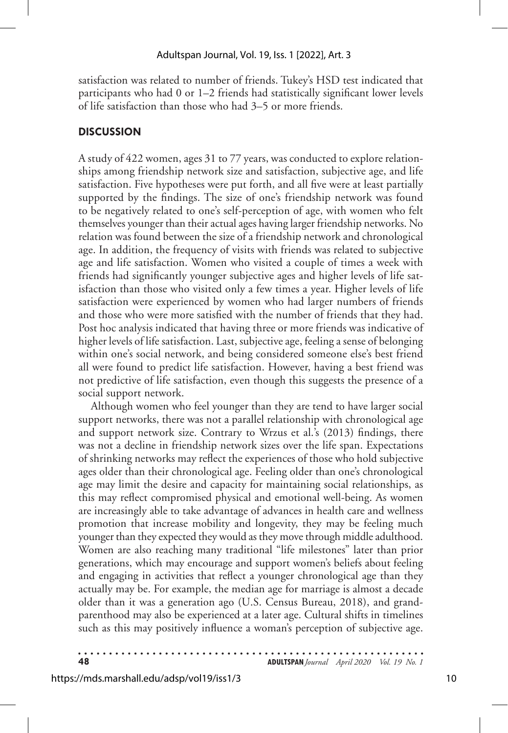satisfaction was related to number of friends. Tukey's HSD test indicated that participants who had 0 or 1–2 friends had statistically significant lower levels of life satisfaction than those who had 3–5 or more friends.

#### **DISCUSSION**

A study of 422 women, ages 31 to 77 years, was conducted to explore relationships among friendship network size and satisfaction, subjective age, and life satisfaction. Five hypotheses were put forth, and all five were at least partially supported by the findings. The size of one's friendship network was found to be negatively related to one's self-perception of age, with women who felt themselves younger than their actual ages having larger friendship networks. No relation was found between the size of a friendship network and chronological age. In addition, the frequency of visits with friends was related to subjective age and life satisfaction. Women who visited a couple of times a week with friends had significantly younger subjective ages and higher levels of life satisfaction than those who visited only a few times a year. Higher levels of life satisfaction were experienced by women who had larger numbers of friends and those who were more satisfied with the number of friends that they had. Post hoc analysis indicated that having three or more friends was indicative of higher levels of life satisfaction. Last, subjective age, feeling a sense of belonging within one's social network, and being considered someone else's best friend all were found to predict life satisfaction. However, having a best friend was not predictive of life satisfaction, even though this suggests the presence of a social support network.

Although women who feel younger than they are tend to have larger social support networks, there was not a parallel relationship with chronological age and support network size. Contrary to Wrzus et al.'s (2013) findings, there was not a decline in friendship network sizes over the life span. Expectations of shrinking networks may reflect the experiences of those who hold subjective ages older than their chronological age. Feeling older than one's chronological age may limit the desire and capacity for maintaining social relationships, as this may reflect compromised physical and emotional well-being. As women are increasingly able to take advantage of advances in health care and wellness promotion that increase mobility and longevity, they may be feeling much younger than they expected they would as they move through middle adulthood. Women are also reaching many traditional "life milestones" later than prior generations, which may encourage and support women's beliefs about feeling and engaging in activities that reflect a younger chronological age than they actually may be. For example, the median age for marriage is almost a decade older than it was a generation ago (U.S. Census Bureau, 2018), and grandparenthood may also be experienced at a later age. Cultural shifts in timelines such as this may positively influence a woman's perception of subjective age.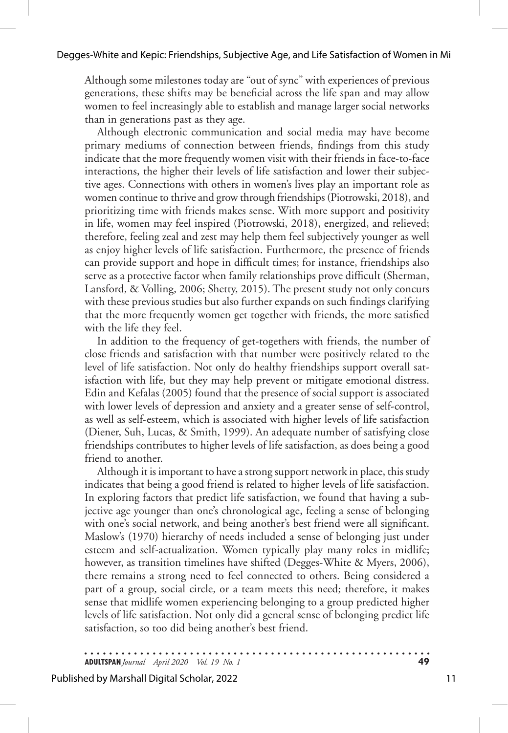Although some milestones today are "out of sync" with experiences of previous generations, these shifts may be beneficial across the life span and may allow women to feel increasingly able to establish and manage larger social networks than in generations past as they age.

Although electronic communication and social media may have become primary mediums of connection between friends, findings from this study indicate that the more frequently women visit with their friends in face-to-face interactions, the higher their levels of life satisfaction and lower their subjective ages. Connections with others in women's lives play an important role as women continue to thrive and grow through friendships (Piotrowski, 2018), and prioritizing time with friends makes sense. With more support and positivity in life, women may feel inspired (Piotrowski, 2018), energized, and relieved; therefore, feeling zeal and zest may help them feel subjectively younger as well as enjoy higher levels of life satisfaction. Furthermore, the presence of friends can provide support and hope in difficult times; for instance, friendships also serve as a protective factor when family relationships prove difficult (Sherman, Lansford, & Volling, 2006; Shetty, 2015). The present study not only concurs with these previous studies but also further expands on such findings clarifying that the more frequently women get together with friends, the more satisfied with the life they feel.

In addition to the frequency of get-togethers with friends, the number of close friends and satisfaction with that number were positively related to the level of life satisfaction. Not only do healthy friendships support overall satisfaction with life, but they may help prevent or mitigate emotional distress. Edin and Kefalas (2005) found that the presence of social support is associated with lower levels of depression and anxiety and a greater sense of self-control, as well as self-esteem, which is associated with higher levels of life satisfaction (Diener, Suh, Lucas, & Smith, 1999). An adequate number of satisfying close friendships contributes to higher levels of life satisfaction, as does being a good friend to another.

Although it is important to have a strong support network in place, this study indicates that being a good friend is related to higher levels of life satisfaction. In exploring factors that predict life satisfaction, we found that having a subjective age younger than one's chronological age, feeling a sense of belonging with one's social network, and being another's best friend were all significant. Maslow's (1970) hierarchy of needs included a sense of belonging just under esteem and self-actualization. Women typically play many roles in midlife; however, as transition timelines have shifted (Degges-White & Myers, 2006), there remains a strong need to feel connected to others. Being considered a part of a group, social circle, or a team meets this need; therefore, it makes sense that midlife women experiencing belonging to a group predicted higher levels of life satisfaction. Not only did a general sense of belonging predict life satisfaction, so too did being another's best friend.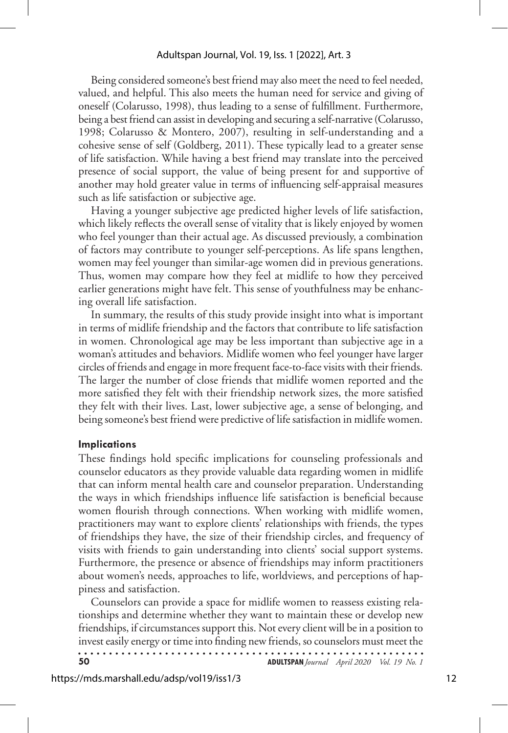Being considered someone's best friend may also meet the need to feel needed, valued, and helpful. This also meets the human need for service and giving of oneself (Colarusso, 1998), thus leading to a sense of fulfillment. Furthermore, being a best friend can assist in developing and securing a self-narrative (Colarusso, 1998; Colarusso & Montero, 2007), resulting in self-understanding and a cohesive sense of self (Goldberg, 2011). These typically lead to a greater sense of life satisfaction. While having a best friend may translate into the perceived presence of social support, the value of being present for and supportive of another may hold greater value in terms of influencing self-appraisal measures such as life satisfaction or subjective age.

Having a younger subjective age predicted higher levels of life satisfaction, which likely reflects the overall sense of vitality that is likely enjoyed by women who feel younger than their actual age. As discussed previously, a combination of factors may contribute to younger self-perceptions. As life spans lengthen, women may feel younger than similar-age women did in previous generations. Thus, women may compare how they feel at midlife to how they perceived earlier generations might have felt. This sense of youthfulness may be enhancing overall life satisfaction.

In summary, the results of this study provide insight into what is important in terms of midlife friendship and the factors that contribute to life satisfaction in women. Chronological age may be less important than subjective age in a woman's attitudes and behaviors. Midlife women who feel younger have larger circles of friends and engage in more frequent face-to-face visits with their friends. The larger the number of close friends that midlife women reported and the more satisfied they felt with their friendship network sizes, the more satisfied they felt with their lives. Last, lower subjective age, a sense of belonging, and being someone's best friend were predictive of life satisfaction in midlife women.

#### **Implications**

These findings hold specific implications for counseling professionals and counselor educators as they provide valuable data regarding women in midlife that can inform mental health care and counselor preparation. Understanding the ways in which friendships influence life satisfaction is beneficial because women flourish through connections. When working with midlife women, practitioners may want to explore clients' relationships with friends, the types of friendships they have, the size of their friendship circles, and frequency of visits with friends to gain understanding into clients' social support systems. Furthermore, the presence or absence of friendships may inform practitioners about women's needs, approaches to life, worldviews, and perceptions of happiness and satisfaction.

Counselors can provide a space for midlife women to reassess existing relationships and determine whether they want to maintain these or develop new friendships, if circumstances support this. Not every client will be in a position to invest easily energy or time into finding new friends, so counselors must meet the

| -50 | <b>ADULTSPAN</b> Journal April 2020 Vol. 19 No. 1 |  |
|-----|---------------------------------------------------|--|
|     |                                                   |  |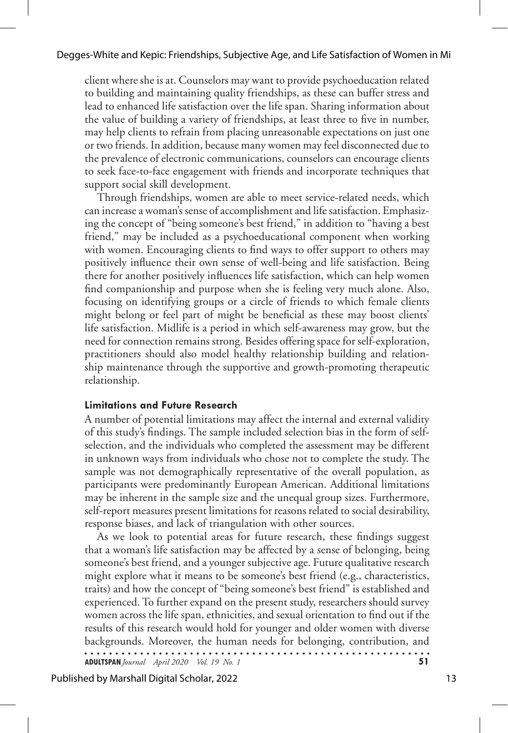client where she is at. Counselors may want to provide psychoeducation related to building and maintaining quality friendships, as these can buffer stress and lead to enhanced life satisfaction over the life span. Sharing information about the value of building a variety of friendships, at least three to five in number, may help clients to refrain from placing unreasonable expectations on just one or two friends. In addition, because many women may feel disconnected due to the prevalence of electronic communications, counselors can encourage clients to seek face-to-face engagement with friends and incorporate techniques that support social skill development.

Through friendships, women are able to meet service-related needs, which can increase a woman's sense of accomplishment and life satisfaction. Emphasizing the concept of "being someone's best friend," in addition to "having a best friend," may be included as a psychoeducational component when working with women. Encouraging clients to find ways to offer support to others may positively influence their own sense of well-being and life satisfaction. Being there for another positively influences life satisfaction, which can help women find companionship and purpose when she is feeling very much alone. Also, focusing on identifying groups or a circle of friends to which female clients might belong or feel part of might be beneficial as these may boost clients' life satisfaction. Midlife is a period in which self-awareness may grow, but the need for connection remains strong. Besides offering space for self-exploration, practitioners should also model healthy relationship building and relationship maintenance through the supportive and growth-promoting therapeutic relationship.

#### **Limitations and Future Research**

A number of potential limitations may affect the internal and external validity of this study's findings. The sample included selection bias in the form of selfselection, and the individuals who completed the assessment may be different in unknown ways from individuals who chose not to complete the study. The sample was not demographically representative of the overall population, as participants were predominantly European American. Additional limitations may be inherent in the sample size and the unequal group sizes. Furthermore, self-report measures present limitations for reasons related to social desirability, response biases, and lack of triangulation with other sources.

As we look to potential areas for future research, these findings suggest that a woman's life satisfaction may be affected by a sense of belonging, being someone's best friend, and a younger subjective age. Future qualitative research might explore what it means to be someone's best friend (e.g., characteristics, traits) and how the concept of "being someone's best friend" is established and experienced. To further expand on the present study, researchers should survey women across the life span, ethnicities, and sexual orientation to find out if the results of this research would hold for younger and older women with diverse backgrounds. Moreover, the human needs for belonging, contribution, and 

**ADULTSPAN***Journal April 2020 Vol. 19 No. 1* **51**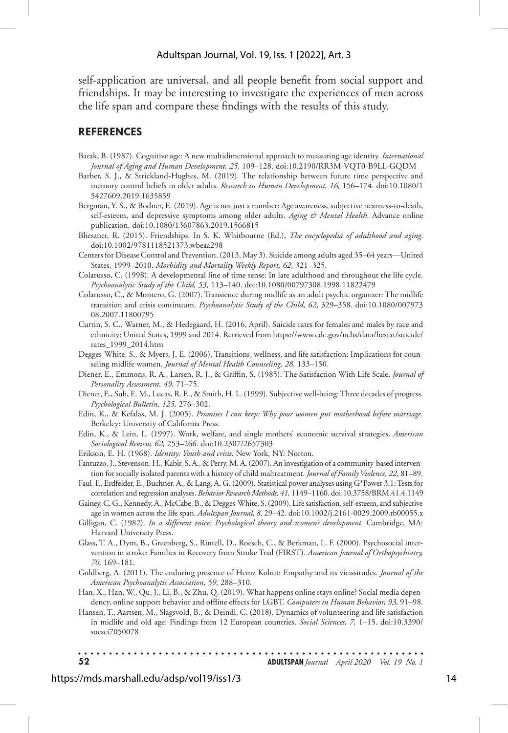#### Adultspan Journal, Vol. 19, Iss. 1 [2022], Art. 3

self-application are universal, and all people benefit from social support and friendships. It may be interesting to investigate the experiences of men across the life span and compare these findings with the results of this study.

#### **REFERENCES**

- Barak, B. (1987). Cognitive age: A new multidimensional approach to measuring age identity. *International Journal of Aging and Human Development, 25,* 109–128. doi:10.2190/RR3M-VQT0-B9LL-GQDM
- Barber, S. J., & Strickland-Hughes, M. (2019). The relationship between future time perspective and memory control beliefs in older adults. *Research in Human Development, 16,* 156–174. doi:10.1080/1 5427609.2019.1635859
- Bergman, Y. S., & Bodner, E. (2019). Age is not just a number: Age awareness, subjective nearness-to-death, self-esteem, and depressive symptoms among older adults. *Aging & Mental Health*. Advance online publication. doi:10.1080/13607863.2019.1566815
- Blieszner, R. (2015). Friendships. In S. K. Whitbourne (Ed.), *The encyclopedia of adulthood and aging*. doi:10.1002/9781118521373.wbeaa298
- Centers for Disease Control and Prevention. (2013, May 3). Suicide among adults aged 35–64 years—United States, 1999–2010. *Morbidity and Mortality Weekly Report, 62,* 321–325.
- Colarusso, C. (1998). A developmental line of time sense: In late adulthood and throughout the life cycle. *Psychoanalytic Study of the Child, 53,* 113–140. doi:10.1080/00797308.1998.11822479
- Colarusso, C., & Montero, G. (2007). Transience during midlife as an adult psychic organizer: The midlife transition and crisis continuum. *Psychoanalytic Study of the Child, 62,* 329–358. doi:10.1080/007973 08.2007.11800795
- Curtin, S. C., Warner, M., & Hedegaard, H. (2016, April). Suicide rates for females and males by race and ethnicity: United States, 1999 and 2014. Retrieved from https://www.cdc.gov/nchs/data/hestat/suicide/ rates\_1999\_2014.htm
- Degges-White, S., & Myers, J. E. (2006). Transitions, wellness, and life satisfaction: Implications for counseling midlife women*. Journal of Mental Health Counseling, 28,* 133–150.
- Diener, E., Emmons, R. A., Larsen, R. J., & Griffin, S. (1985). The Satisfaction With Life Scale. *Journal of Personality Assessment, 49,* 71–75.
- Diener, E., Suh, E. M., Lucas, R. E., & Smith, H. L. (1999). Subjective well-being: Three decades of progress. *Psychological Bulletin, 125,* 276–302.
- Edin, K., & Kefalas, M. J. (2005). *Promises I can keep: Why poor women put motherhood before marriage*. Berkeley: University of California Press.
- Edin, K., & Lein, L. (1997). Work, welfare, and single mothers' economic survival strategies. *American Sociological Review, 62,* 253–266. doi:10.2307/2657303
- Erikson, E. H. (1968). *Identity: Youth and crisis*. New York, NY: Norton.
- Fantuzzo, J., Stevenson, H., Kabir, S. A., & Perry, M. A. (2007). An investigation of a community-based intervention for socially isolated parents with a history of child maltreatment. *Journal of Family Violence, 22,* 81–89.
- Faul, F., Erdfelder, E., Buchner, A., & Lang, A. G. (2009). Statistical power analyses using G\*Power 3.1: Tests for correlation and regression analyses. *Behavior Research Methods, 41,* 1149–1160. doi:10.3758/BRM.41.4.1149
- Gainey, C. G., Kennedy, A., McCabe, B., & Degges-White, S. (2009). Life satisfaction, self-esteem, and subjective age in women across the life span. *Adultspan Journal, 8,* 29–42. doi:10.1002/j.2161-0029.2009.tb00055.x
- Gilligan, C. (1982). *In a different voice: Psychological theory and women's development.* Cambridge, MA: Harvard University Press.
- Glass, T. A., Dym, B., Greenberg, S., Rintell, D., Roesch, C., & Berkman, L. F. (2000). Psychosocial intervention in stroke: Families in Recovery from Stroke Trial (FIRST). *American Journal of Orthopsychiatry, 70,* 169–181.
- Goldberg, A. (2011). The enduring presence of Heinz Kohut: Empathy and its vicissitudes. *Journal of the American Psychoanalytic Association, 59,* 288–310.
- Han, X., Han, W., Qu, J., Li, B., & Zhu, Q. (2019). What happens online stays online? Social media dependency, online support behavior and offline effects for LGBT. *Computers in Human Behavior, 93,* 91–98.
- Hansen, T., Aartsen, M., Slagsvold, B., & Deindl, C. (2018). Dynamics of volunteering and life satisfaction in midlife and old age: Findings from 12 European countries. *Social Sciences, 7,* 1–15. doi:10.3390/ socsci7050078